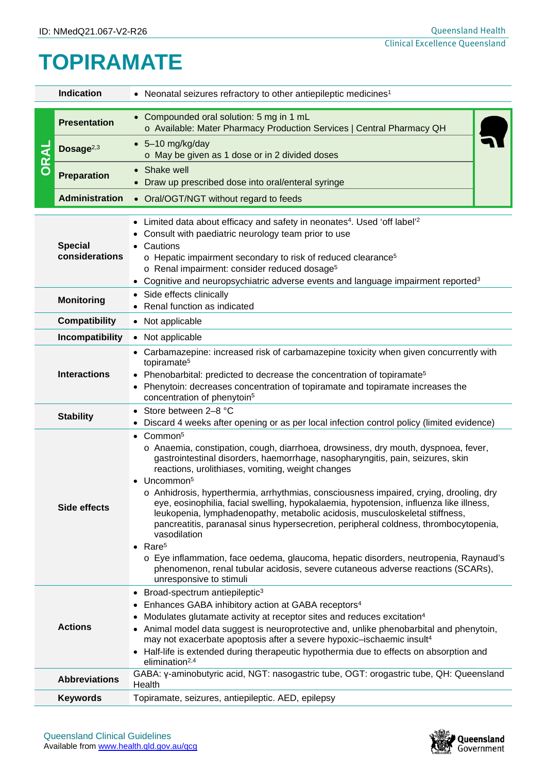## **TOPIRAMATE**

| <b>Indication</b>                            |                       | • Neonatal seizures refractory to other antiepileptic medicines <sup>1</sup>                                                                                                                                                                                                                                                                                                                                                                                                                                                                                                                                                                                                                                                                                                                                                                                                                        |  |  |  |
|----------------------------------------------|-----------------------|-----------------------------------------------------------------------------------------------------------------------------------------------------------------------------------------------------------------------------------------------------------------------------------------------------------------------------------------------------------------------------------------------------------------------------------------------------------------------------------------------------------------------------------------------------------------------------------------------------------------------------------------------------------------------------------------------------------------------------------------------------------------------------------------------------------------------------------------------------------------------------------------------------|--|--|--|
| ORAL                                         | <b>Presentation</b>   | • Compounded oral solution: 5 mg in 1 mL<br>o Available: Mater Pharmacy Production Services   Central Pharmacy QH                                                                                                                                                                                                                                                                                                                                                                                                                                                                                                                                                                                                                                                                                                                                                                                   |  |  |  |
|                                              | Dosage <sup>2,3</sup> | $-5-10$ mg/kg/day<br>o May be given as 1 dose or in 2 divided doses                                                                                                                                                                                                                                                                                                                                                                                                                                                                                                                                                                                                                                                                                                                                                                                                                                 |  |  |  |
|                                              | <b>Preparation</b>    | Shake well<br>Draw up prescribed dose into oral/enteral syringe                                                                                                                                                                                                                                                                                                                                                                                                                                                                                                                                                                                                                                                                                                                                                                                                                                     |  |  |  |
|                                              | <b>Administration</b> | • Oral/OGT/NGT without regard to feeds                                                                                                                                                                                                                                                                                                                                                                                                                                                                                                                                                                                                                                                                                                                                                                                                                                                              |  |  |  |
| <b>Special</b><br>Cautions<br>considerations |                       | • Limited data about efficacy and safety in neonates <sup>4</sup> . Used 'off label' <sup>2</sup><br>Consult with paediatric neurology team prior to use<br>o Hepatic impairment secondary to risk of reduced clearance <sup>5</sup><br>o Renal impairment: consider reduced dosage <sup>5</sup><br>• Cognitive and neuropsychiatric adverse events and language impairment reported <sup>3</sup>                                                                                                                                                                                                                                                                                                                                                                                                                                                                                                   |  |  |  |
|                                              | <b>Monitoring</b>     | • Side effects clinically                                                                                                                                                                                                                                                                                                                                                                                                                                                                                                                                                                                                                                                                                                                                                                                                                                                                           |  |  |  |
|                                              | <b>Compatibility</b>  | Renal function as indicated<br>• Not applicable                                                                                                                                                                                                                                                                                                                                                                                                                                                                                                                                                                                                                                                                                                                                                                                                                                                     |  |  |  |
|                                              | Incompatibility       | • Not applicable                                                                                                                                                                                                                                                                                                                                                                                                                                                                                                                                                                                                                                                                                                                                                                                                                                                                                    |  |  |  |
|                                              | <b>Interactions</b>   | • Carbamazepine: increased risk of carbamazepine toxicity when given concurrently with<br>topiramate <sup>5</sup><br>• Phenobarbital: predicted to decrease the concentration of topiramate <sup>5</sup><br>Phenytoin: decreases concentration of topiramate and topiramate increases the<br>concentration of phenytoin <sup>5</sup>                                                                                                                                                                                                                                                                                                                                                                                                                                                                                                                                                                |  |  |  |
|                                              | <b>Stability</b>      | Store between 2-8 °C<br>Discard 4 weeks after opening or as per local infection control policy (limited evidence)                                                                                                                                                                                                                                                                                                                                                                                                                                                                                                                                                                                                                                                                                                                                                                                   |  |  |  |
| Side effects<br><b>Actions</b>               |                       | $\bullet$ Common <sup>5</sup><br>o Anaemia, constipation, cough, diarrhoea, drowsiness, dry mouth, dyspnoea, fever,<br>gastrointestinal disorders, haemorrhage, nasopharyngitis, pain, seizures, skin<br>reactions, urolithiases, vomiting, weight changes<br>Uncommon <sup>5</sup><br>o Anhidrosis, hyperthermia, arrhythmias, consciousness impaired, crying, drooling, dry<br>eye, eosinophilia, facial swelling, hypokalaemia, hypotension, influenza like illness,<br>leukopenia, lymphadenopathy, metabolic acidosis, musculoskeletal stiffness,<br>pancreatitis, paranasal sinus hypersecretion, peripheral coldness, thrombocytopenia,<br>vasodilation<br>$\bullet$ Rare <sup>5</sup><br>o Eye inflammation, face oedema, glaucoma, hepatic disorders, neutropenia, Raynaud's<br>phenomenon, renal tubular acidosis, severe cutaneous adverse reactions (SCARs),<br>unresponsive to stimuli |  |  |  |
|                                              |                       | Broad-spectrum antiepileptic <sup>3</sup><br>Enhances GABA inhibitory action at GABA receptors <sup>4</sup><br>Modulates glutamate activity at receptor sites and reduces excitation <sup>4</sup><br>• Animal model data suggest is neuroprotective and, unlike phenobarbital and phenytoin,<br>may not exacerbate apoptosis after a severe hypoxic-ischaemic insult <sup>4</sup><br>Half-life is extended during therapeutic hypothermia due to effects on absorption and<br>elimination <sup>2,4</sup>                                                                                                                                                                                                                                                                                                                                                                                            |  |  |  |
|                                              | <b>Abbreviations</b>  | GABA: y-aminobutyric acid, NGT: nasogastric tube, OGT: orogastric tube, QH: Queensland<br>Health                                                                                                                                                                                                                                                                                                                                                                                                                                                                                                                                                                                                                                                                                                                                                                                                    |  |  |  |
|                                              | <b>Keywords</b>       | Topiramate, seizures, antiepileptic. AED, epilepsy                                                                                                                                                                                                                                                                                                                                                                                                                                                                                                                                                                                                                                                                                                                                                                                                                                                  |  |  |  |